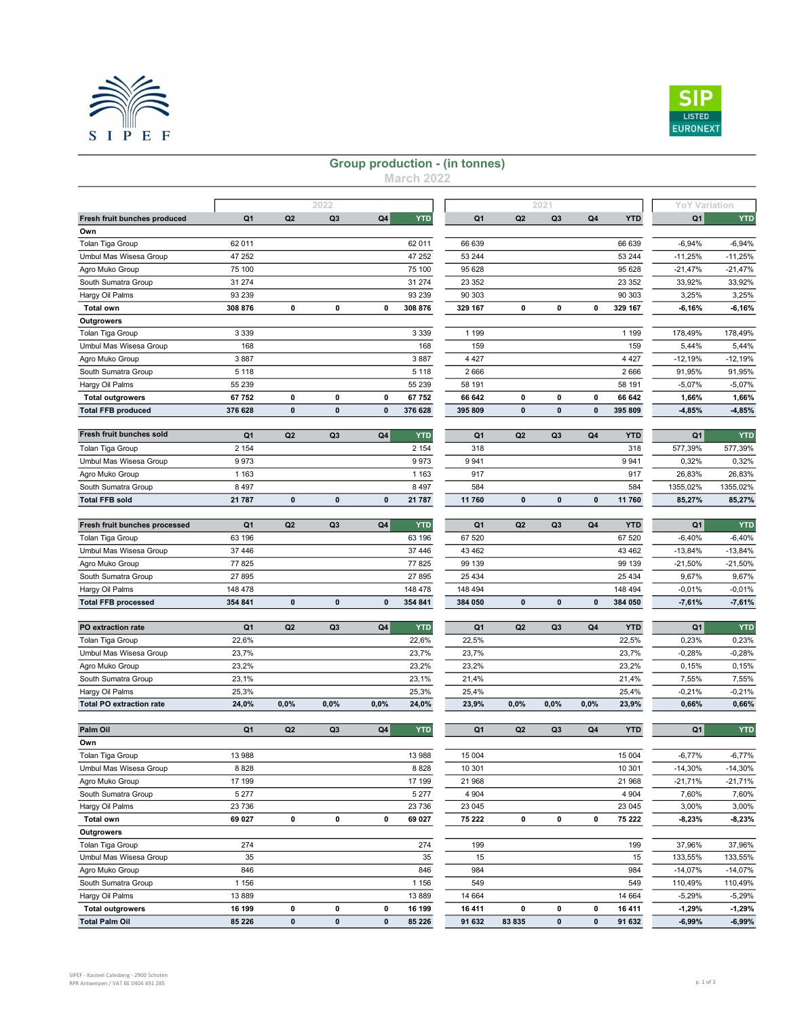



## Group production - (in tonnes)

March 2022

|                                 |                |                | 2022           |              |                   |                    |                | 2021           |             |                    |                            |            |
|---------------------------------|----------------|----------------|----------------|--------------|-------------------|--------------------|----------------|----------------|-------------|--------------------|----------------------------|------------|
| Fresh fruit bunches produced    | Q1             | Q <sub>2</sub> | Q <sub>3</sub> | Q4           | <b>YTD</b>        | Q1                 | Q2             | Q <sub>3</sub> | Q4          | <b>YTD</b>         | <b>YoY Variation</b><br>Q1 | <b>YTD</b> |
| Own                             |                |                |                |              |                   |                    |                |                |             |                    |                            |            |
| Tolan Tiga Group                | 62 011         |                |                |              | 62 011            | 66 639             |                |                |             | 66 639             | $-6,94%$                   | $-6,94%$   |
| Umbul Mas Wisesa Group          | 47 252         |                |                |              | 47 252            | 53 244             |                |                |             | 53 244             | $-11,25%$                  | $-11,25%$  |
| Agro Muko Group                 | 75 100         |                |                |              | 75 100            | 95 628             |                |                |             | 95 628             | $-21,47%$                  | $-21,47%$  |
| South Sumatra Group             | 31 274         |                |                |              | 31 274            | 23 352             |                |                |             | 23 352             | 33,92%                     | 33,92%     |
|                                 |                |                |                |              |                   |                    |                |                |             |                    |                            |            |
| Hargy Oil Palms                 | 93 239         | 0              | 0              | 0            | 93 239<br>308 876 | 90 30 3<br>329 167 | 0              | 0              | $\mathbf 0$ | 90 30 3<br>329 167 | 3,25%<br>$-6,16%$          | 3,25%      |
| <b>Total own</b>                | 308 876        |                |                |              |                   |                    |                |                |             |                    |                            | $-6,16%$   |
| Outgrowers                      |                |                |                |              |                   |                    |                |                |             |                    |                            |            |
| Tolan Tiga Group                | 3 3 3 9        |                |                |              | 3 3 3 9           | 1 1 9 9            |                |                |             | 1 1 9 9            | 178,49%                    | 178,49%    |
| Umbul Mas Wisesa Group          | 168            |                |                |              | 168               | 159                |                |                |             | 159                | 5,44%                      | 5,44%      |
| Agro Muko Group                 | 3887           |                |                |              | 3887              | 4 4 2 7            |                |                |             | 4 4 2 7            | $-12,19%$                  | $-12,19%$  |
| South Sumatra Group             | 5 1 1 8        |                |                |              | 5 1 1 8           | 2666               |                |                |             | 2666               | 91,95%                     | 91,95%     |
| Hargy Oil Palms                 | 55 239         |                |                |              | 55 239            | 58 191             |                |                |             | 58 191             | $-5,07%$                   | $-5,07%$   |
| <b>Total outgrowers</b>         | 67 752         | 0              | 0              | 0            | 67752             | 66 642             | 0              | $\mathbf 0$    | 0           | 66 642             | 1,66%                      | 1,66%      |
| <b>Total FFB produced</b>       | 376 628        | $\bf{0}$       | 0              | 0            | 376 628           | 395 809            | 0              | 0              | 0           | 395 809            | $-4,85%$                   | $-4,85%$   |
| Fresh fruit bunches sold        |                |                |                |              | <b>YTD</b>        |                    |                |                |             |                    |                            | <b>YTD</b> |
|                                 | Q <sub>1</sub> | Q <sub>2</sub> | Q <sub>3</sub> | Q4           |                   | Q1                 | Q2             | Q <sub>3</sub> | Q4          | <b>YTD</b>         | Q1                         |            |
| Tolan Tiga Group                | 2 1 5 4        |                |                |              | 2 1 5 4           | 318                |                |                |             | 318                | 577,39%                    | 577,39%    |
| Umbul Mas Wisesa Group          | 9973           |                |                |              | 9973              | 9 9 4 1            |                |                |             | 9941               | 0,32%                      | 0,32%      |
| Agro Muko Group                 | 1 1 6 3        |                |                |              | 1 1 6 3           | 917                |                |                |             | 917                | 26,83%                     | 26,83%     |
| South Sumatra Group             | 8 4 9 7        |                |                |              | 8 4 9 7           | 584                |                |                |             | 584                | 1355,02%                   | 1355,02%   |
| <b>Total FFB sold</b>           | 21 787         | $\mathbf 0$    | 0              | 0            | 21 787            | 11 760             | 0              | 0              | 0           | 11760              | 85,27%                     | 85,27%     |
| Fresh fruit bunches processed   | Q1             | Q <sub>2</sub> | Q <sub>3</sub> | Q4           | <b>YTD</b>        | Q <sub>1</sub>     | Q2             | Q <sub>3</sub> | Q4          | <b>YTD</b>         | Q <sub>1</sub>             | <b>YTD</b> |
| Tolan Tiga Group                | 63 196         |                |                |              | 63 196            | 67 520             |                |                |             | 67 520             | $-6,40%$                   | $-6,40%$   |
| Umbul Mas Wisesa Group          | 37 446         |                |                |              | 37 446            | 43 462             |                |                |             | 43 462             | $-13,84%$                  | $-13,84%$  |
| Agro Muko Group                 | 77 825         |                |                |              | 77 825            | 99 139             |                |                |             | 99 139             | $-21,50%$                  | $-21,50%$  |
| South Sumatra Group             | 27 895         |                |                |              | 27 895            | 25 4 34            |                |                |             | 25 4 34            | 9,67%                      | 9,67%      |
| Hargy Oil Palms                 | 148 478        |                |                |              | 148 478           | 148 494            |                |                |             | 148 494            | $-0,01%$                   | $-0,01%$   |
| <b>Total FFB processed</b>      | 354 841        | $\mathbf{0}$   | $\mathbf{0}$   | $\mathbf{0}$ | 354 841           | 384 050            | $\mathbf{0}$   | $\mathbf{0}$   | $\pmb{0}$   | 384 050            | $-7,61%$                   | $-7,61%$   |
|                                 |                |                |                |              |                   |                    |                |                |             |                    |                            |            |
| PO extraction rate              | Q1             | Q <sub>2</sub> | Q3             | Q4           | <b>YTD</b>        | Q1                 | Q2             | Q <sub>3</sub> | Q4          | <b>YTD</b>         | Q1                         | <b>YTD</b> |
| Tolan Tiga Group                | 22,6%          |                |                |              | 22,6%             | 22,5%              |                |                |             | 22,5%              | 0,23%                      | 0,23%      |
| Umbul Mas Wisesa Group          | 23,7%          |                |                |              | 23,7%             | 23,7%              |                |                |             | 23,7%              | $-0,28%$                   | $-0,28%$   |
| Agro Muko Group                 | 23,2%          |                |                |              | 23,2%             | 23,2%              |                |                |             | 23,2%              | 0,15%                      | 0,15%      |
| South Sumatra Group             | 23,1%          |                |                |              | 23,1%             | 21,4%              |                |                |             | 21,4%              | 7,55%                      | 7,55%      |
| Hargy Oil Palms                 | 25,3%          |                |                |              | 25,3%             | 25,4%              |                |                |             | 25,4%              | $-0,21%$                   | $-0,21%$   |
| <b>Total PO extraction rate</b> | 24,0%          | 0,0%           | 0,0%           | 0,0%         | 24,0%             | 23,9%              | 0,0%           | 0,0%           | 0,0%        | 23,9%              | 0,66%                      | 0,66%      |
|                                 |                |                |                |              |                   |                    |                |                |             |                    |                            |            |
| Palm Oil                        | Q <sub>1</sub> | Q <sub>2</sub> | Q3             | Q4           | <b>YTD</b>        | Q1                 | Q <sub>2</sub> | Q3             | Q4          | <b>YTD</b>         | Q1                         | <b>YTD</b> |
| Own                             |                |                |                |              |                   |                    |                |                |             |                    |                            |            |
| Tolan Tiga Group                | 13 988         |                |                |              | 13 988            | 15 004             |                |                |             | 15 004             | $-6,77%$                   | $-6,77%$   |
| Umbul Mas Wisesa Group          | 8 8 2 8        |                |                |              | 8 8 2 8           | 10 301             |                |                |             | 10 301             | $-14,30%$                  | $-14,30%$  |
| Agro Muko Group                 | 17 199         |                |                |              | 17 199            | 21 968             |                |                |             | 21 968             | $-21,71%$                  | $-21,71%$  |
| South Sumatra Group             | 5 2 7 7        |                |                |              | 5 2 7 7           | 4 9 0 4            |                |                |             | 4 9 0 4            | 7,60%                      | 7,60%      |
| Hargy Oil Palms                 | 23 7 36        |                |                |              | 23 736            | 23 045             |                |                |             | 23 045             | 3,00%                      | 3,00%      |
| <b>Total own</b>                | 69 027         | 0              | 0              | 0            | 69 027            | 75 222             | 0              | 0              | 0           | 75 222             | $-8,23%$                   | $-8,23%$   |
| <b>Outgrowers</b>               |                |                |                |              |                   |                    |                |                |             |                    |                            |            |
| Tolan Tiga Group                | 274            |                |                |              | 274               | 199                |                |                |             | 199                | 37,96%                     | 37,96%     |
| Umbul Mas Wisesa Group          | 35             |                |                |              | 35                | 15                 |                |                |             | 15                 | 133,55%                    | 133,55%    |
| Agro Muko Group                 | 846            |                |                |              | 846               | 984                |                |                |             | 984                | $-14,07%$                  | $-14,07%$  |
| South Sumatra Group             | 1 1 5 6        |                |                |              | 1 1 5 6           | 549                |                |                |             | 549                | 110,49%                    | 110,49%    |
| Hargy Oil Palms                 | 13 889         |                |                |              | 13 889            | 14 664             |                |                |             | 14 664             | $-5,29%$                   | $-5,29%$   |
| <b>Total outgrowers</b>         | 16 199         | 0              | 0              | 0            | 16 199            | 16 411             | 0              | 0              | 0           | 16 411             | $-1,29%$                   | $-1,29%$   |
| <b>Total Palm Oil</b>           | 85 226         | $\pmb{0}$      | $\pmb{0}$      | $\pmb{0}$    | 85 226            | 91 632             | 83 835         | $\pmb{0}$      | $\pmb{0}$   | 91 632             | $-6,99%$                   | $-6,99%$   |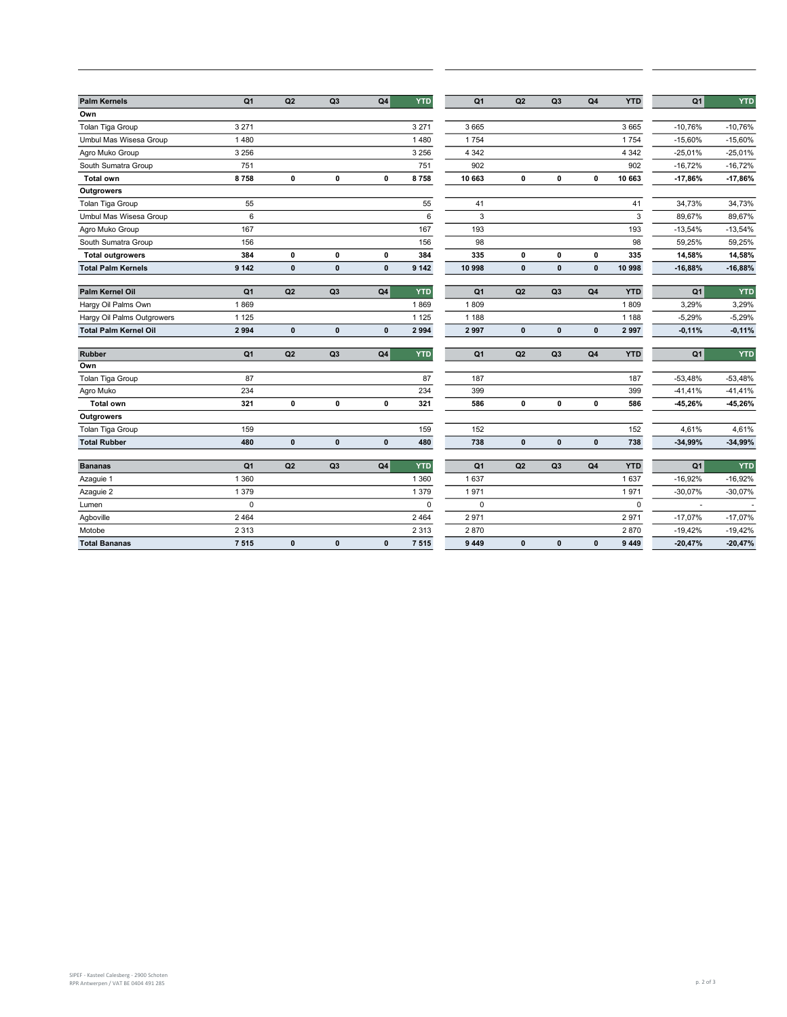| <b>Palm Kernels</b>          | Q <sub>1</sub> | Q2           | Q <sub>3</sub> | Q <sub>4</sub> | <b>YTD</b>  | Q <sub>1</sub> | Q2           | Q3             | Q <sub>4</sub> | <b>YTD</b>  | Q <sub>1</sub> | <b>YTD</b> |
|------------------------------|----------------|--------------|----------------|----------------|-------------|----------------|--------------|----------------|----------------|-------------|----------------|------------|
| Own                          |                |              |                |                |             |                |              |                |                |             |                |            |
| Tolan Tiga Group             | 3 2 7 1        |              |                |                | 3 2 7 1     | 3 6 6 5        |              |                |                | 3 6 6 5     | $-10,76%$      | $-10,76%$  |
| Umbul Mas Wisesa Group       | 1 4 8 0        |              |                |                | 1 4 8 0     | 1754           |              |                |                | 1754        | $-15,60%$      | $-15,60%$  |
| Agro Muko Group              | 3 2 5 6        |              |                |                | 3 2 5 6     | 4 3 4 2        |              |                |                | 4 3 4 2     | $-25,01%$      | $-25,01%$  |
| South Sumatra Group          | 751            |              |                |                | 751         | 902            |              |                |                | 902         | $-16,72%$      | $-16,72%$  |
| <b>Total own</b>             | 8758           | $\mathbf 0$  | $\mathbf 0$    | 0              | 8758        | 10 663         | $\mathbf 0$  | $\mathbf 0$    | $\mathbf 0$    | 10 663      | $-17,86%$      | $-17,86%$  |
| <b>Outgrowers</b>            |                |              |                |                |             |                |              |                |                |             |                |            |
| Tolan Tiga Group             | 55             |              |                |                | 55          | 41             |              |                |                | 41          | 34,73%         | 34,73%     |
| Umbul Mas Wisesa Group       | 6              |              |                |                | $\,6\,$     | 3              |              |                |                | 3           | 89,67%         | 89,67%     |
| Agro Muko Group              | 167            |              |                |                | 167         | 193            |              |                |                | 193         | $-13,54%$      | $-13,54%$  |
| South Sumatra Group          | 156            |              |                |                | 156         | 98             |              |                |                | 98          | 59,25%         | 59,25%     |
| <b>Total outgrowers</b>      | 384            | 0            | $\mathbf 0$    | 0              | 384         | 335            | $\mathbf 0$  | $\mathbf 0$    | $\mathbf 0$    | 335         | 14,58%         | 14,58%     |
| <b>Total Palm Kernels</b>    | 9 1 4 2        | $\mathbf 0$  | $\pmb{0}$      | $\mathbf{0}$   | 9 1 4 2     | 10 998         | $\mathbf{0}$ | $\mathbf 0$    | $\mathbf{0}$   | 10 998      | $-16,88%$      | $-16,88%$  |
|                              |                |              |                |                |             |                |              |                |                |             |                |            |
| Palm Kernel Oil              | Q <sub>1</sub> | Q2           | Q <sub>3</sub> | Q <sub>4</sub> | <b>YTD</b>  | Q <sub>1</sub> | Q2           | Q <sub>3</sub> | Q <sub>4</sub> | <b>YTD</b>  | Q <sub>1</sub> | <b>YTD</b> |
| Hargy Oil Palms Own          | 1869           |              |                |                | 1869        | 1809           |              |                |                | 1809        | 3,29%          | 3,29%      |
| Hargy Oil Palms Outgrowers   | 1 1 2 5        |              |                |                | 1 1 2 5     | 1 1 8 8        |              |                |                | 1 1 8 8     | $-5,29%$       | $-5,29%$   |
| <b>Total Palm Kernel Oil</b> | 2 9 9 4        | $\mathbf 0$  | $\pmb{0}$      | $\mathbf{0}$   | 2 9 9 4     | 2997           | $\pmb{0}$    | $\pmb{0}$      | $\mathbf{0}$   | 2997        | $-0,11%$       | $-0,11%$   |
| <b>Rubber</b>                | Q <sub>1</sub> | Q2           | Q <sub>3</sub> | Q4             | <b>YTD</b>  | Q <sub>1</sub> | Q2           | Q <sub>3</sub> | Q4             | <b>YTD</b>  | Q <sub>1</sub> | YTD        |
| Own                          |                |              |                |                |             |                |              |                |                |             |                |            |
| Tolan Tiga Group             | 87             |              |                |                | 87          | 187            |              |                |                | 187         | $-53,48%$      | $-53,48%$  |
| Agro Muko                    | 234            |              |                |                | 234         | 399            |              |                |                | 399         | $-41,41%$      | $-41,41%$  |
| <b>Total own</b>             | 321            | $\pmb{0}$    | $\pmb{0}$      | $\pmb{0}$      | 321         | 586            | $\pmb{0}$    | $\pmb{0}$      | $\mathbf 0$    | 586         | -45,26%        | -45,26%    |
| <b>Outgrowers</b>            |                |              |                |                |             |                |              |                |                |             |                |            |
| Tolan Tiga Group             | 159            |              |                |                | 159         | 152            |              |                |                | 152         | 4,61%          | 4,61%      |
| <b>Total Rubber</b>          | 480            | $\mathbf{0}$ | $\pmb{0}$      | $\mathbf{0}$   | 480         | 738            | $\mathbf{0}$ | $\pmb{0}$      | $\mathbf{0}$   | 738         | $-34,99%$      | $-34,99%$  |
| <b>Bananas</b>               | Q <sub>1</sub> | Q2           | Q <sub>3</sub> | Q4             | <b>YTD</b>  | Q <sub>1</sub> | Q2           | Q <sub>3</sub> | Q <sub>4</sub> | <b>YTD</b>  | Q <sub>1</sub> | <b>YTD</b> |
| Azaguie 1                    | 1 3 6 0        |              |                |                | 1 3 6 0     | 1637           |              |                |                | 1637        | $-16,92%$      | $-16,92%$  |
| Azaguie 2                    | 1 3 7 9        |              |                |                | 1379        | 1971           |              |                |                | 1971        | $-30,07%$      | $-30,07%$  |
| Lumen                        | $\mathbf 0$    |              |                |                | $\mathbf 0$ | $\mathbf 0$    |              |                |                | $\mathbf 0$ | ÷,             |            |
| Agboville                    | 2 4 6 4        |              |                |                | 2 4 6 4     | 2971           |              |                |                | 2971        | $-17,07%$      | $-17,07%$  |
| Motobe                       | 2 3 1 3        |              |                |                | 2 3 1 3     | 2870           |              |                |                | 2870        | $-19,42%$      | $-19,42%$  |
| <b>Total Bananas</b>         | 7515           | $\mathbf{0}$ | $\mathbf{0}$   | $\mathbf{0}$   | 7 5 1 5     | 9 4 4 9        | $\mathbf{0}$ | $\pmb{0}$      | $\pmb{0}$      | 9 4 4 9     | $-20,47%$      | $-20,47%$  |